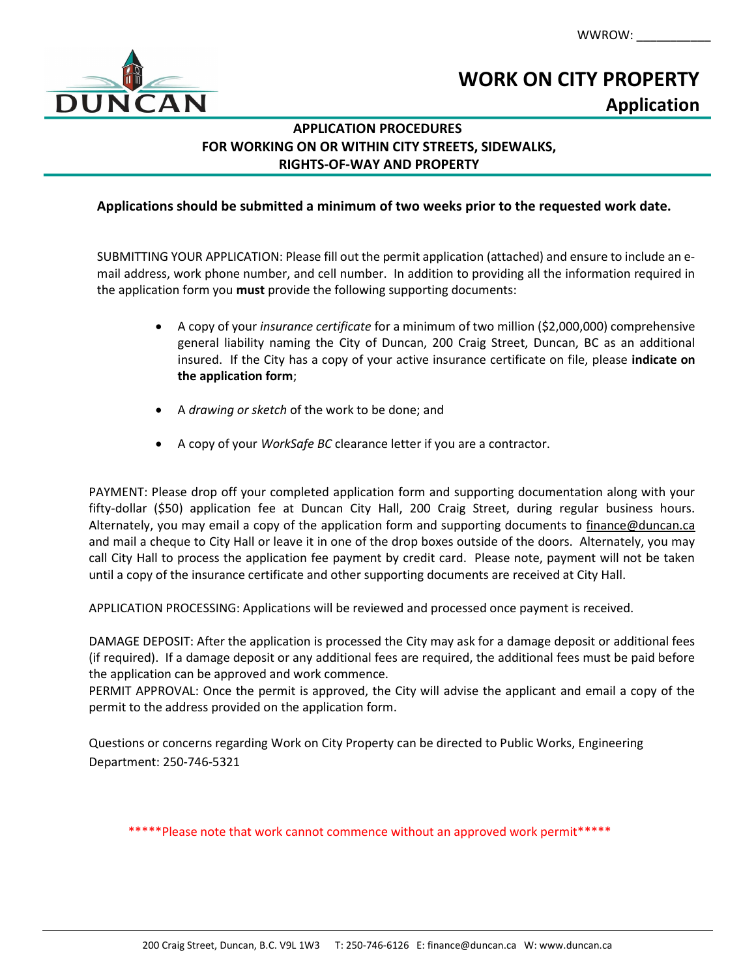WWROW: \_\_\_\_\_\_\_\_\_\_\_



# WORK ON CITY PROPERTY Application

# APPLICATION PROCEDURES FOR WORKING ON OR WITHIN CITY STREETS, SIDEWALKS, RIGHTS-OF-WAY AND PROPERTY

# Applications should be submitted a minimum of two weeks prior to the requested work date.

SUBMITTING YOUR APPLICATION: Please fill out the permit application (attached) and ensure to include an email address, work phone number, and cell number. In addition to providing all the information required in the application form you must provide the following supporting documents:

- A copy of your insurance certificate for a minimum of two million (\$2,000,000) comprehensive general liability naming the City of Duncan, 200 Craig Street, Duncan, BC as an additional insured. If the City has a copy of your active insurance certificate on file, please indicate on the application form;
- A drawing or sketch of the work to be done; and
- A copy of your WorkSafe BC clearance letter if you are a contractor.

PAYMENT: Please drop off your completed application form and supporting documentation along with your fifty-dollar (\$50) application fee at Duncan City Hall, 200 Craig Street, during regular business hours. Alternately, you may email a copy of the application form and supporting documents to finance@duncan.ca and mail a cheque to City Hall or leave it in one of the drop boxes outside of the doors. Alternately, you may call City Hall to process the application fee payment by credit card. Please note, payment will not be taken until a copy of the insurance certificate and other supporting documents are received at City Hall.

APPLICATION PROCESSING: Applications will be reviewed and processed once payment is received.

DAMAGE DEPOSIT: After the application is processed the City may ask for a damage deposit or additional fees (if required). If a damage deposit or any additional fees are required, the additional fees must be paid before the application can be approved and work commence.

PERMIT APPROVAL: Once the permit is approved, the City will advise the applicant and email a copy of the permit to the address provided on the application form.

Questions or concerns regarding Work on City Property can be directed to Public Works, Engineering Department: 250-746-5321

\*\*\*\*\*Please note that work cannot commence without an approved work permit\*\*\*\*\*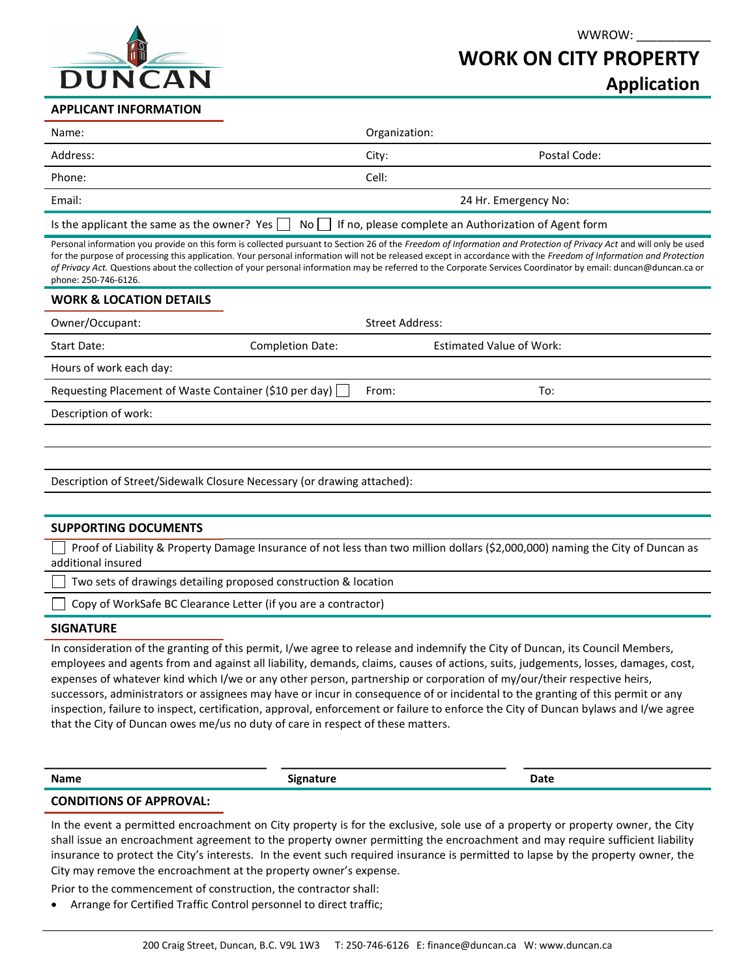

### WWROW:

# WORK ON CITY PROPERTY

Application

#### APPLICANT INFORMATION

| Name:                                                                                                              | Organization:        |              |  |  |
|--------------------------------------------------------------------------------------------------------------------|----------------------|--------------|--|--|
| Address:                                                                                                           | City:                | Postal Code: |  |  |
| Phone:                                                                                                             | Cell:                |              |  |  |
| Email:                                                                                                             | 24 Hr. Emergency No: |              |  |  |
| Is the applicant the same as the owner? Yes $\Box$ No $\Box$ If no, please complete an Authorization of Agent form |                      |              |  |  |

Personal information you provide on this form is collected pursuant to Section 26 of the Freedom of Information and Protection of Privacy Act and will only be used for the purpose of processing this application. Your personal information will not be released except in accordance with the Freedom of Information and Protection of Privacy Act. Questions about the collection of your personal information may be referred to the Corporate Services Coordinator by email: duncan@duncan.ca or phone: 250-746-6126.

#### WORK & LOCATION DETAILS

| Owner/Occupant:                                               |                         | <b>Street Address:</b> |                                 |  |  |
|---------------------------------------------------------------|-------------------------|------------------------|---------------------------------|--|--|
| Start Date:                                                   | <b>Completion Date:</b> |                        | <b>Estimated Value of Work:</b> |  |  |
| Hours of work each day:                                       |                         |                        |                                 |  |  |
| Requesting Placement of Waste Container (\$10 per day) $\Box$ |                         | From:                  | To:                             |  |  |
| Description of work:                                          |                         |                        |                                 |  |  |
|                                                               |                         |                        |                                 |  |  |

Description of Street/Sidewalk Closure Necessary (or drawing attached):

#### SUPPORTING DOCUMENTS

Proof of Liability & Property Damage Insurance of not less than two million dollars (\$2,000,000) naming the City of Duncan as additional insured

Two sets of drawings detailing proposed construction & location

 $\Box$  Copy of WorkSafe BC Clearance Letter (if you are a contractor)

#### SIGNATURE

In consideration of the granting of this permit, I/we agree to release and indemnify the City of Duncan, its Council Members, employees and agents from and against all liability, demands, claims, causes of actions, suits, judgements, losses, damages, cost, expenses of whatever kind which I/we or any other person, partnership or corporation of my/our/their respective heirs, successors, administrators or assignees may have or incur in consequence of or incidental to the granting of this permit or any inspection, failure to inspect, certification, approval, enforcement or failure to enforce the City of Duncan bylaws and I/we agree that the City of Duncan owes me/us no duty of care in respect of these matters.

| <b>Name</b> | Signature | <b>Date</b> |
|-------------|-----------|-------------|
|             |           |             |

#### CONDITIONS OF APPROVAL:

In the event a permitted encroachment on City property is for the exclusive, sole use of a property or property owner, the City shall issue an encroachment agreement to the property owner permitting the encroachment and may require sufficient liability insurance to protect the City's interests. In the event such required insurance is permitted to lapse by the property owner, the City may remove the encroachment at the property owner's expense.

Prior to the commencement of construction, the contractor shall:

Arrange for Certified Traffic Control personnel to direct traffic;